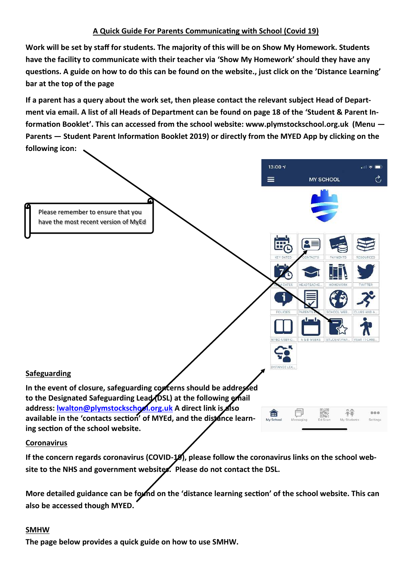# **A Quick Guide For Parents Communicating with School (Covid 19)**

**Work will be set by staff for students. The majority of this will be on Show My Homework. Students have the facility to communicate with their teacher via 'Show My Homework' should they have any questions. A guide on how to do this can be found on the website., just click on the 'Distance Learning' bar at the top of the page** 

**If a parent has a query about the work set, then please contact the relevant subject Head of Department via email. A list of all Heads of Department can be found on page 18 of the 'Student & Parent Information Booklet'. This can accessed from the school website: www.plymstockschool.org.uk (Menu — Parents — Student Parent Information Booklet 2019) or directly from the MYED App by clicking on the following icon:**



**If the concern regards coronavirus (COVID-19), please follow the coronavirus links on the school website to the NHS and government websites. Please do not contact the DSL.**

**More detailed guidance can be found on the 'distance learning section' of the school website. This can also be accessed though MYED.**

# **SMHW**

**The page below provides a quick guide on how to use SMHW.**